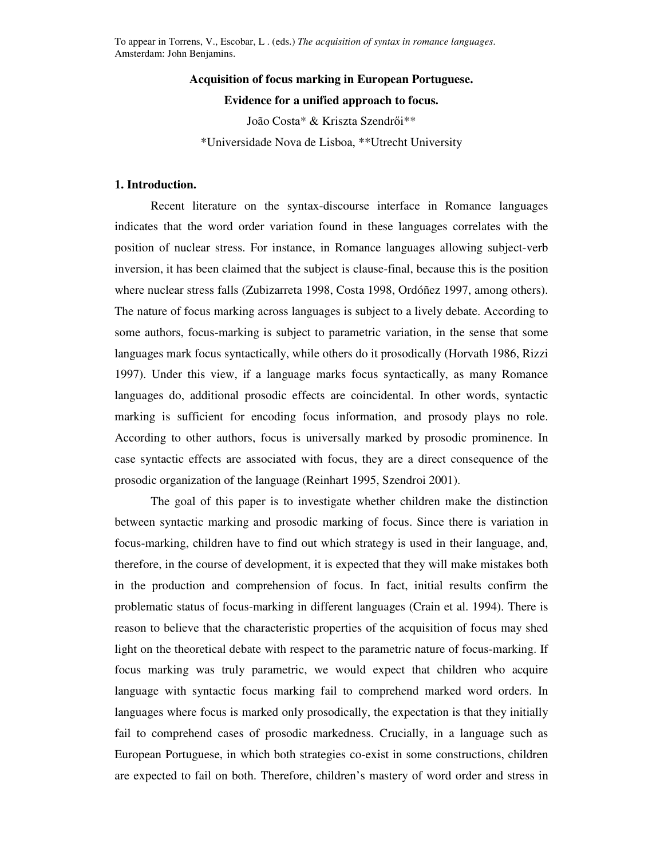To appear in Torrens, V., Escobar, L . (eds.) *The acquisition of syntax in romance languages*. Amsterdam: John Benjamins.

## **Acquisition of focus marking in European Portuguese.**

#### **Evidence for a unified approach to focus.**

João Costa\* & Kriszta Szendrői\*\*

\*Universidade Nova de Lisboa, \*\*Utrecht University

## **1. Introduction.**

Recent literature on the syntax-discourse interface in Romance languages indicates that the word order variation found in these languages correlates with the position of nuclear stress. For instance, in Romance languages allowing subject-verb inversion, it has been claimed that the subject is clause-final, because this is the position where nuclear stress falls (Zubizarreta 1998, Costa 1998, Ordóñez 1997, among others). The nature of focus marking across languages is subject to a lively debate. According to some authors, focus-marking is subject to parametric variation, in the sense that some languages mark focus syntactically, while others do it prosodically (Horvath 1986, Rizzi 1997). Under this view, if a language marks focus syntactically, as many Romance languages do, additional prosodic effects are coincidental. In other words, syntactic marking is sufficient for encoding focus information, and prosody plays no role. According to other authors, focus is universally marked by prosodic prominence. In case syntactic effects are associated with focus, they are a direct consequence of the prosodic organization of the language (Reinhart 1995, Szendroi 2001).

The goal of this paper is to investigate whether children make the distinction between syntactic marking and prosodic marking of focus. Since there is variation in focus-marking, children have to find out which strategy is used in their language, and, therefore, in the course of development, it is expected that they will make mistakes both in the production and comprehension of focus. In fact, initial results confirm the problematic status of focus-marking in different languages (Crain et al. 1994). There is reason to believe that the characteristic properties of the acquisition of focus may shed light on the theoretical debate with respect to the parametric nature of focus-marking. If focus marking was truly parametric, we would expect that children who acquire language with syntactic focus marking fail to comprehend marked word orders. In languages where focus is marked only prosodically, the expectation is that they initially fail to comprehend cases of prosodic markedness. Crucially, in a language such as European Portuguese, in which both strategies co-exist in some constructions, children are expected to fail on both. Therefore, children's mastery of word order and stress in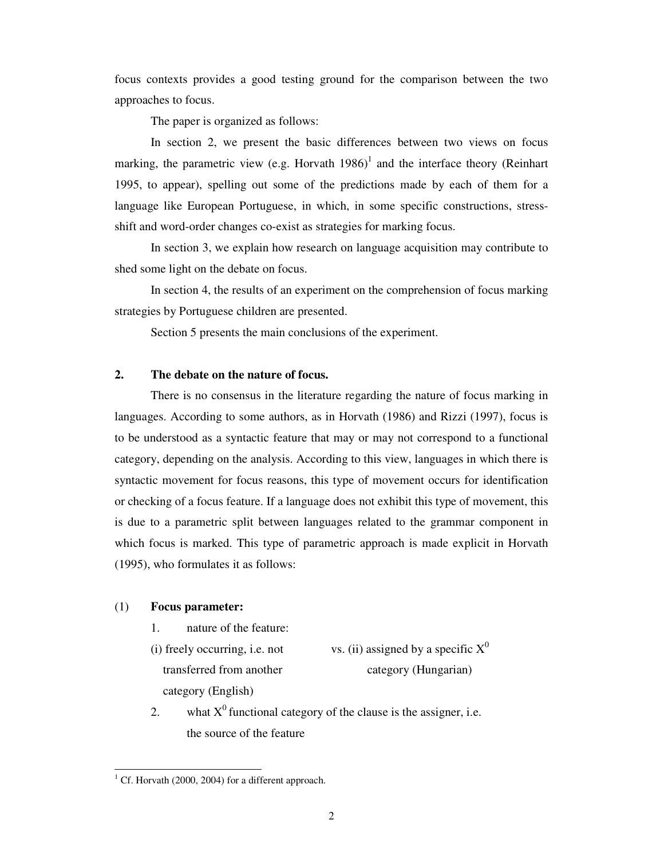focus contexts provides a good testing ground for the comparison between the two approaches to focus.

The paper is organized as follows:

In section 2, we present the basic differences between two views on focus marking, the parametric view (e.g. Horvath  $1986$ )<sup>1</sup> and the interface theory (Reinhart 1995, to appear), spelling out some of the predictions made by each of them for a language like European Portuguese, in which, in some specific constructions, stressshift and word-order changes co-exist as strategies for marking focus.

In section 3, we explain how research on language acquisition may contribute to shed some light on the debate on focus.

In section 4, the results of an experiment on the comprehension of focus marking strategies by Portuguese children are presented.

Section 5 presents the main conclusions of the experiment.

# **2. The debate on the nature of focus.**

There is no consensus in the literature regarding the nature of focus marking in languages. According to some authors, as in Horvath (1986) and Rizzi (1997), focus is to be understood as a syntactic feature that may or may not correspond to a functional category, depending on the analysis. According to this view, languages in which there is syntactic movement for focus reasons, this type of movement occurs for identification or checking of a focus feature. If a language does not exhibit this type of movement, this is due to a parametric split between languages related to the grammar component in which focus is marked. This type of parametric approach is made explicit in Horvath (1995), who formulates it as follows:

## (1) **Focus parameter:**

- 1. nature of the feature:
- (i) freely occurring, i.e. not vs. (ii) assigned by a specific  $X^0$ transferred from another category (Hungarian) category (English)
- 2. what  $X^0$  functional category of the clause is the assigner, i.e. the source of the feature

<sup>&</sup>lt;sup>1</sup> Cf. Horvath (2000, 2004) for a different approach.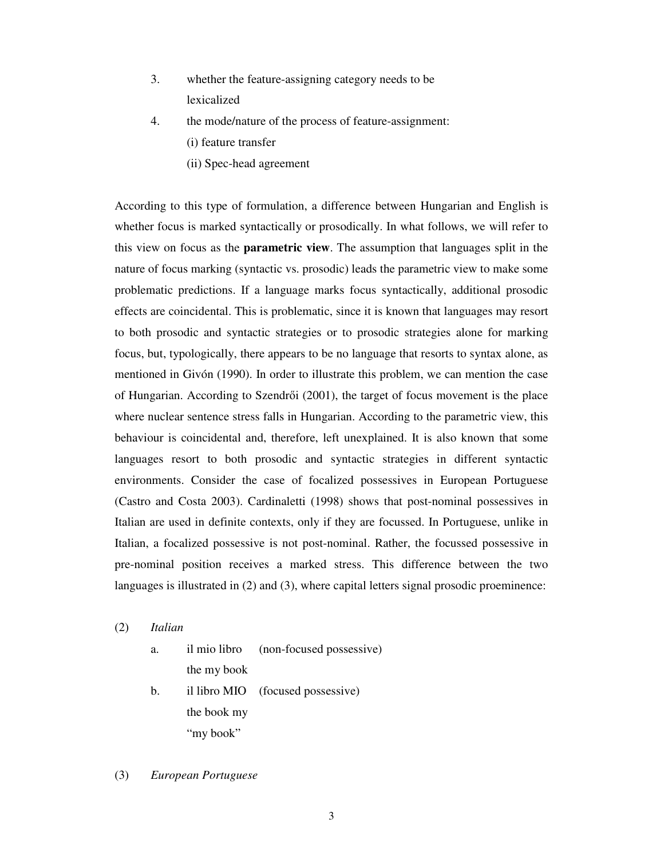- 3. whether the feature-assigning category needs to be lexicalized
- 4. the mode/nature of the process of feature-assignment: (i) feature transfer
	- (ii) Spec-head agreement

According to this type of formulation, a difference between Hungarian and English is whether focus is marked syntactically or prosodically. In what follows, we will refer to this view on focus as the **parametric view**. The assumption that languages split in the nature of focus marking (syntactic vs. prosodic) leads the parametric view to make some problematic predictions. If a language marks focus syntactically, additional prosodic effects are coincidental. This is problematic, since it is known that languages may resort to both prosodic and syntactic strategies or to prosodic strategies alone for marking focus, but, typologically, there appears to be no language that resorts to syntax alone, as mentioned in Givón (1990). In order to illustrate this problem, we can mention the case of Hungarian. According to Szendrői (2001), the target of focus movement is the place where nuclear sentence stress falls in Hungarian. According to the parametric view, this behaviour is coincidental and, therefore, left unexplained. It is also known that some languages resort to both prosodic and syntactic strategies in different syntactic environments. Consider the case of focalized possessives in European Portuguese (Castro and Costa 2003). Cardinaletti (1998) shows that post-nominal possessives in Italian are used in definite contexts, only if they are focussed. In Portuguese, unlike in Italian, a focalized possessive is not post-nominal. Rather, the focussed possessive in pre-nominal position receives a marked stress. This difference between the two languages is illustrated in (2) and (3), where capital letters signal prosodic proeminence:

(2) *Italian*

- a. il mio libro (non-focused possessive) the my book
- b. il libro MIO (focused possessive) the book my "my book"
- (3) *European Portuguese*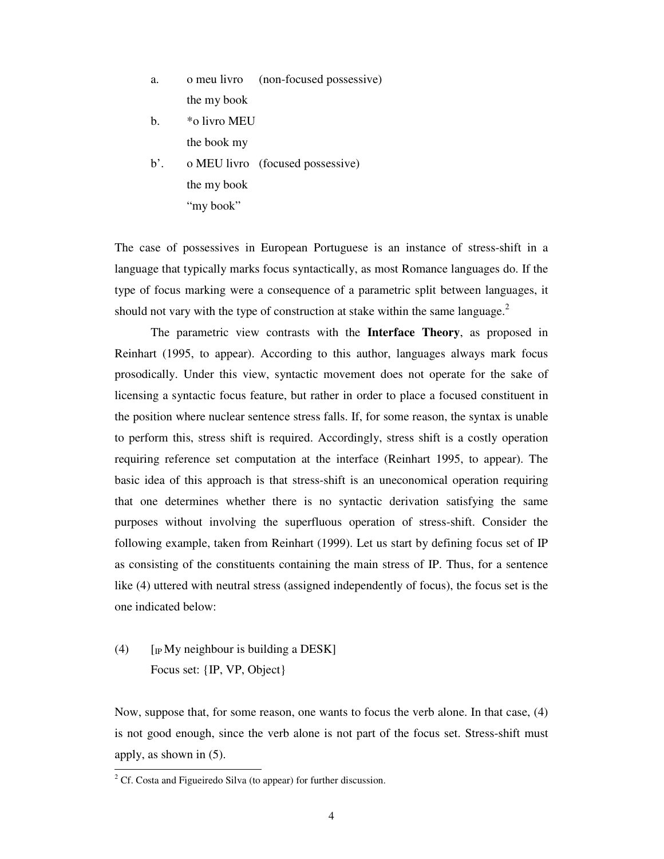- a. o meu livro (non-focused possessive) the my book
- b. \*o livro MEU the book my
- b'. o MEU livro (focused possessive) the my book "my book"

The case of possessives in European Portuguese is an instance of stress-shift in a language that typically marks focus syntactically, as most Romance languages do. If the type of focus marking were a consequence of a parametric split between languages, it should not vary with the type of construction at stake within the same language. $2$ 

The parametric view contrasts with the **Interface Theory**, as proposed in Reinhart (1995, to appear). According to this author, languages always mark focus prosodically. Under this view, syntactic movement does not operate for the sake of licensing a syntactic focus feature, but rather in order to place a focused constituent in the position where nuclear sentence stress falls. If, for some reason, the syntax is unable to perform this, stress shift is required. Accordingly, stress shift is a costly operation requiring reference set computation at the interface (Reinhart 1995, to appear). The basic idea of this approach is that stress-shift is an uneconomical operation requiring that one determines whether there is no syntactic derivation satisfying the same purposes without involving the superfluous operation of stress-shift. Consider the following example, taken from Reinhart (1999). Let us start by defining focus set of IP as consisting of the constituents containing the main stress of IP. Thus, for a sentence like (4) uttered with neutral stress (assigned independently of focus), the focus set is the one indicated below:

# (4)  $\left[$  [IP My neighbour is building a DESK] Focus set: {IP, VP, Object}

Now, suppose that, for some reason, one wants to focus the verb alone. In that case, (4) is not good enough, since the verb alone is not part of the focus set. Stress-shift must apply, as shown in (5).

 $2^2$  Cf. Costa and Figueiredo Silva (to appear) for further discussion.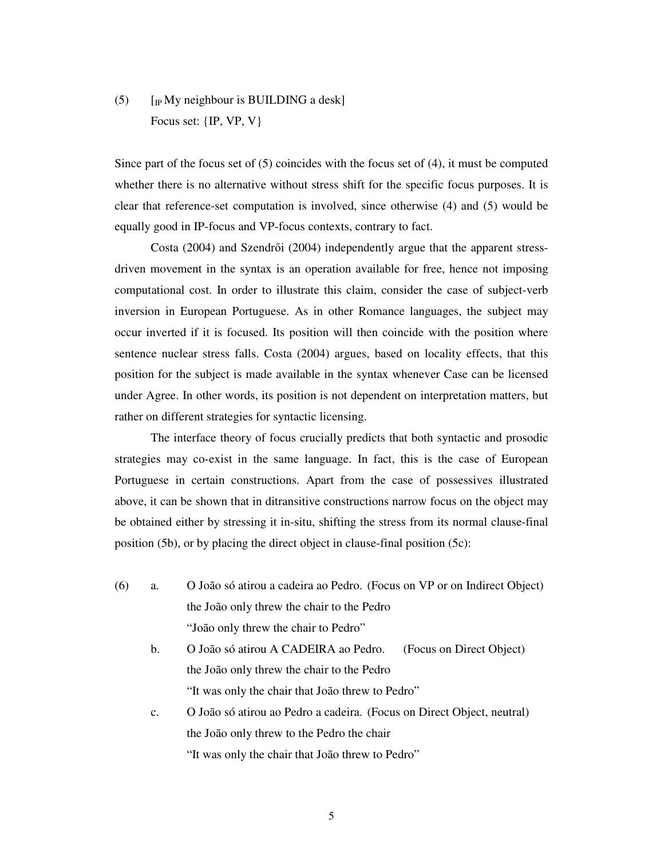# (5)  $\left[$  [IP My neighbour is BUILDING a desk] Focus set: {IP, VP, V}

Since part of the focus set of  $(5)$  coincides with the focus set of  $(4)$ , it must be computed whether there is no alternative without stress shift for the specific focus purposes. It is clear that reference-set computation is involved, since otherwise (4) and (5) would be equally good in IP-focus and VP-focus contexts, contrary to fact.

Costa (2004) and Szendrői (2004) independently argue that the apparent stressdriven movement in the syntax is an operation available for free, hence not imposing computational cost. In order to illustrate this claim, consider the case of subject-verb inversion in European Portuguese. As in other Romance languages, the subject may occur inverted if it is focused. Its position will then coincide with the position where sentence nuclear stress falls. Costa (2004) argues, based on locality effects, that this position for the subject is made available in the syntax whenever Case can be licensed under Agree. In other words, its position is not dependent on interpretation matters, but rather on different strategies for syntactic licensing.

The interface theory of focus crucially predicts that both syntactic and prosodic strategies may co-exist in the same language. In fact, this is the case of European Portuguese in certain constructions. Apart from the case of possessives illustrated above, it can be shown that in ditransitive constructions narrow focus on the object may be obtained either by stressing it in-situ, shifting the stress from its normal clause-final position (5b), or by placing the direct object in clause-final position (5c):

- (6) a. O João só atirou a cadeira ao Pedro. (Focus on VP or on Indirect Object) the João only threw the chair to the Pedro "João only threw the chair to Pedro"
	- b. O João só atirou A CADEIRA ao Pedro. (Focus on Direct Object) the João only threw the chair to the Pedro "It was only the chair that João threw to Pedro"
	- c. O João só atirou ao Pedro a cadeira. (Focus on Direct Object, neutral) the João only threw to the Pedro the chair "It was only the chair that João threw to Pedro"

5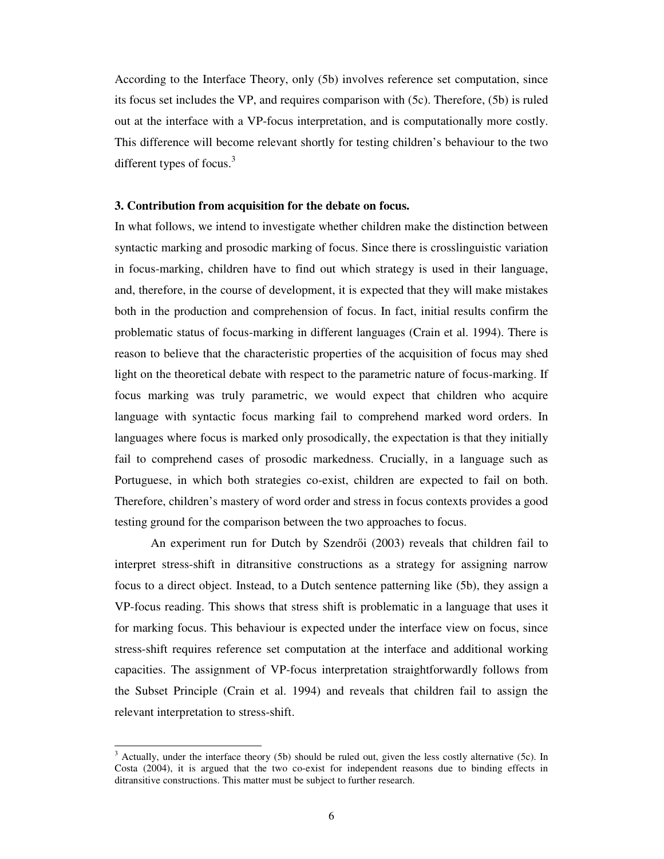According to the Interface Theory, only (5b) involves reference set computation, since its focus set includes the VP, and requires comparison with (5c). Therefore, (5b) is ruled out at the interface with a VP-focus interpretation, and is computationally more costly. This difference will become relevant shortly for testing children's behaviour to the two different types of focus.<sup>3</sup>

#### **3. Contribution from acquisition for the debate on focus.**

In what follows, we intend to investigate whether children make the distinction between syntactic marking and prosodic marking of focus. Since there is crosslinguistic variation in focus-marking, children have to find out which strategy is used in their language, and, therefore, in the course of development, it is expected that they will make mistakes both in the production and comprehension of focus. In fact, initial results confirm the problematic status of focus-marking in different languages (Crain et al. 1994). There is reason to believe that the characteristic properties of the acquisition of focus may shed light on the theoretical debate with respect to the parametric nature of focus-marking. If focus marking was truly parametric, we would expect that children who acquire language with syntactic focus marking fail to comprehend marked word orders. In languages where focus is marked only prosodically, the expectation is that they initially fail to comprehend cases of prosodic markedness. Crucially, in a language such as Portuguese, in which both strategies co-exist, children are expected to fail on both. Therefore, children's mastery of word order and stress in focus contexts provides a good testing ground for the comparison between the two approaches to focus.

An experiment run for Dutch by Szendrői (2003) reveals that children fail to interpret stress-shift in ditransitive constructions as a strategy for assigning narrow focus to a direct object. Instead, to a Dutch sentence patterning like (5b), they assign a VP-focus reading. This shows that stress shift is problematic in a language that uses it for marking focus. This behaviour is expected under the interface view on focus, since stress-shift requires reference set computation at the interface and additional working capacities. The assignment of VP-focus interpretation straightforwardly follows from the Subset Principle (Crain et al. 1994) and reveals that children fail to assign the relevant interpretation to stress-shift.

 $3$  Actually, under the interface theory (5b) should be ruled out, given the less costly alternative (5c). In Costa (2004), it is argued that the two co-exist for independent reasons due to binding effects in ditransitive constructions. This matter must be subject to further research.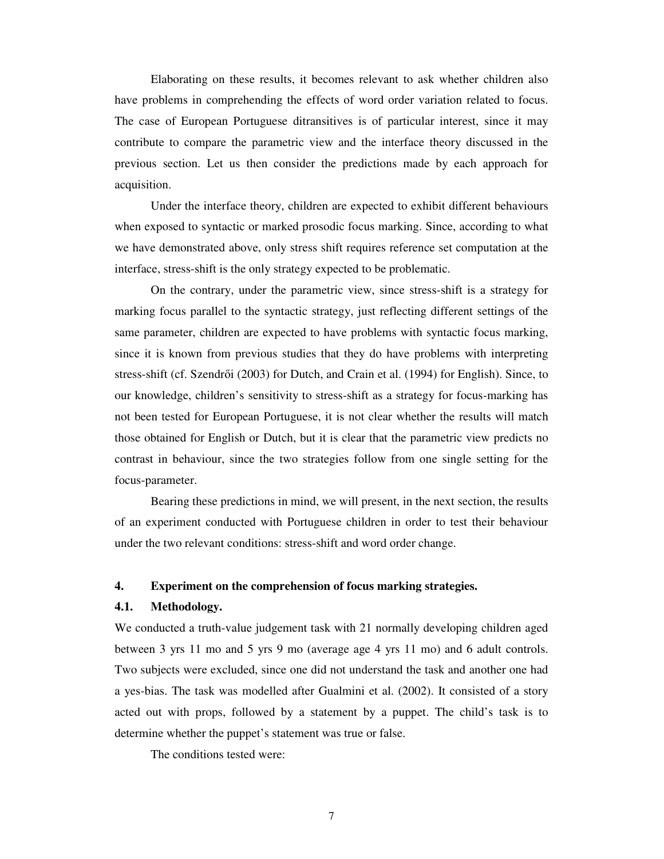Elaborating on these results, it becomes relevant to ask whether children also have problems in comprehending the effects of word order variation related to focus. The case of European Portuguese ditransitives is of particular interest, since it may contribute to compare the parametric view and the interface theory discussed in the previous section. Let us then consider the predictions made by each approach for acquisition.

Under the interface theory, children are expected to exhibit different behaviours when exposed to syntactic or marked prosodic focus marking. Since, according to what we have demonstrated above, only stress shift requires reference set computation at the interface, stress-shift is the only strategy expected to be problematic.

On the contrary, under the parametric view, since stress-shift is a strategy for marking focus parallel to the syntactic strategy, just reflecting different settings of the same parameter, children are expected to have problems with syntactic focus marking, since it is known from previous studies that they do have problems with interpreting stress-shift (cf. Szendrői (2003) for Dutch, and Crain et al. (1994) for English). Since, to our knowledge, children's sensitivity to stress-shift as a strategy for focus-marking has not been tested for European Portuguese, it is not clear whether the results will match those obtained for English or Dutch, but it is clear that the parametric view predicts no contrast in behaviour, since the two strategies follow from one single setting for the focus-parameter.

Bearing these predictions in mind, we will present, in the next section, the results of an experiment conducted with Portuguese children in order to test their behaviour under the two relevant conditions: stress-shift and word order change.

## **4. Experiment on the comprehension of focus marking strategies.**

#### **4.1. Methodology.**

We conducted a truth-value judgement task with 21 normally developing children aged between 3 yrs 11 mo and 5 yrs 9 mo (average age 4 yrs 11 mo) and 6 adult controls. Two subjects were excluded, since one did not understand the task and another one had a yes-bias. The task was modelled after Gualmini et al. (2002). It consisted of a story acted out with props, followed by a statement by a puppet. The child's task is to determine whether the puppet's statement was true or false.

The conditions tested were: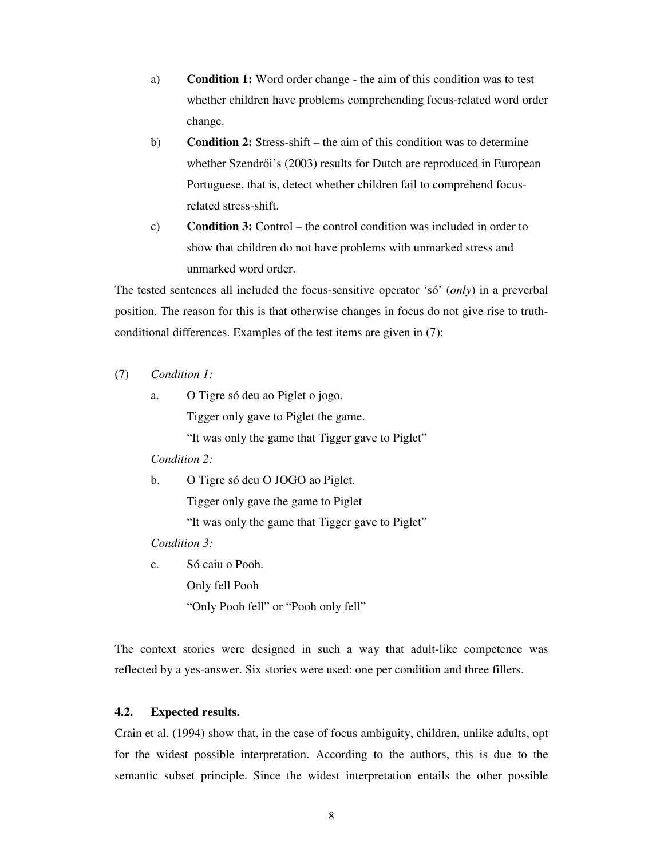- a) **Condition 1:** Word order change the aim of this condition was to test whether children have problems comprehending focus-related word order change.
- b) **Condition 2:** Stress-shift the aim of this condition was to determine whether Szendrői's (2003) results for Dutch are reproduced in European Portuguese, that is, detect whether children fail to comprehend focusrelated stress-shift.
- c) **Condition 3:** Control the control condition was included in order to show that children do not have problems with unmarked stress and unmarked word order.

The tested sentences all included the focus-sensitive operator 'só' (*only*) in a preverbal position. The reason for this is that otherwise changes in focus do not give rise to truthconditional differences. Examples of the test items are given in (7):

- (7) *Condition 1:*
	- a. O Tigre só deu ao Piglet o jogo.

Tigger only gave to Piglet the game.

"It was only the game that Tigger gave to Piglet"

# *Condition 2:*

b. O Tigre só deu O JOGO ao Piglet.

Tigger only gave the game to Piglet

"It was only the game that Tigger gave to Piglet"

*Condition 3:*

- c. Só caiu o Pooh.
	- Only fell Pooh
	- "Only Pooh fell" or "Pooh only fell"

The context stories were designed in such a way that adult-like competence was reflected by a yes-answer. Six stories were used: one per condition and three fillers.

## **4.2. Expected results.**

Crain et al. (1994) show that, in the case of focus ambiguity, children, unlike adults, opt for the widest possible interpretation. According to the authors, this is due to the semantic subset principle. Since the widest interpretation entails the other possible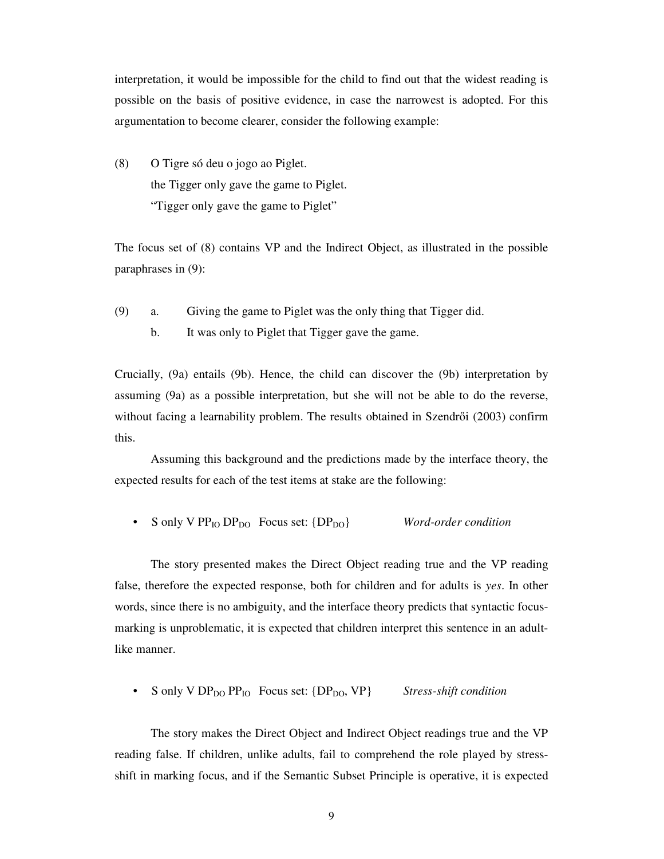interpretation, it would be impossible for the child to find out that the widest reading is possible on the basis of positive evidence, in case the narrowest is adopted. For this argumentation to become clearer, consider the following example:

(8) O Tigre só deu o jogo ao Piglet. the Tigger only gave the game to Piglet. "Tigger only gave the game to Piglet"

The focus set of (8) contains VP and the Indirect Object, as illustrated in the possible paraphrases in (9):

- (9) a. Giving the game to Piglet was the only thing that Tigger did.
	- b. It was only to Piglet that Tigger gave the game.

Crucially, (9a) entails (9b). Hence, the child can discover the (9b) interpretation by assuming (9a) as a possible interpretation, but she will not be able to do the reverse, without facing a learnability problem. The results obtained in Szendrői (2003) confirm this.

Assuming this background and the predictions made by the interface theory, the expected results for each of the test items at stake are the following:

• S only V PP<sub>IO</sub> DP<sub>DO</sub> Focus set: {DP<sub>DO</sub>} *Word-order condition* 

The story presented makes the Direct Object reading true and the VP reading false, therefore the expected response, both for children and for adults is *yes*. In other words, since there is no ambiguity, and the interface theory predicts that syntactic focusmarking is unproblematic, it is expected that children interpret this sentence in an adultlike manner.

• S only V DP<sub>DO</sub> PP<sub>IO</sub> Focus set: {DP<sub>DO</sub>, VP} *Stress-shift condition* 

The story makes the Direct Object and Indirect Object readings true and the VP reading false. If children, unlike adults, fail to comprehend the role played by stressshift in marking focus, and if the Semantic Subset Principle is operative, it is expected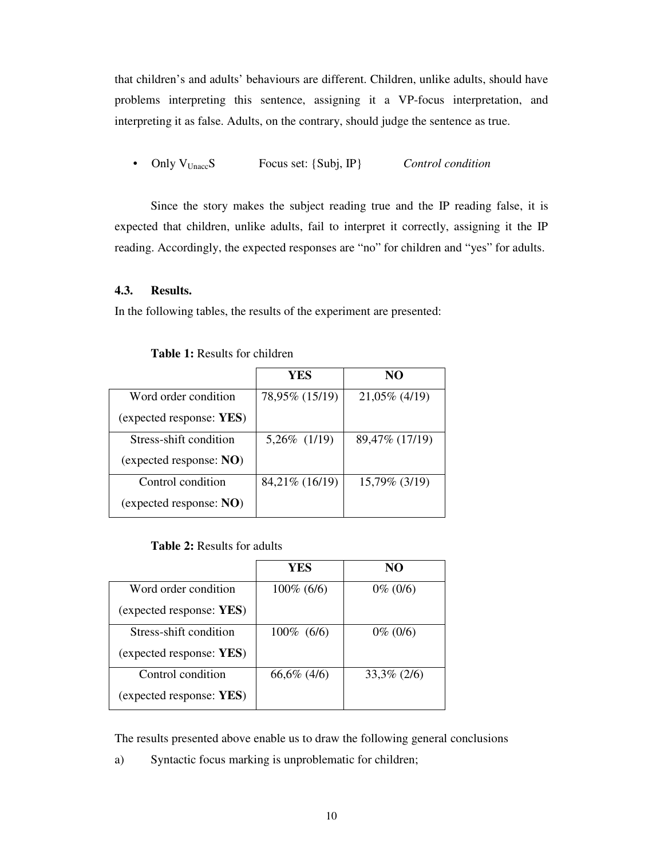that children's and adults' behaviours are different. Children, unlike adults, should have problems interpreting this sentence, assigning it a VP-focus interpretation, and interpreting it as false. Adults, on the contrary, should judge the sentence as true.

• Only VUnaccS Focus set: {Subj, IP} *Control condition*

Since the story makes the subject reading true and the IP reading false, it is expected that children, unlike adults, fail to interpret it correctly, assigning it the IP reading. Accordingly, the expected responses are "no" for children and "yes" for adults.

# **4.3. Results.**

In the following tables, the results of the experiment are presented:

|                          | YES            | NO             |
|--------------------------|----------------|----------------|
| Word order condition     | 78,95% (15/19) | 21,05% (4/19)  |
| (expected response: YES) |                |                |
| Stress-shift condition   | 5,26\% (1/19)  | 89,47% (17/19) |
| (expected response: NO)  |                |                |
| Control condition        | 84,21% (16/19) | 15,79% (3/19)  |
| (expected response: NO)  |                |                |

## **Table 2:** Results for adults

|                          | YES            | NO             |
|--------------------------|----------------|----------------|
| Word order condition     | $100\%$ (6/6)  | $0\%$ (0/6)    |
| (expected response: YES) |                |                |
| Stress-shift condition   | $100\%$ (6/6)  | $0\%$ (0/6)    |
| (expected response: YES) |                |                |
| Control condition        | $66,6\%$ (4/6) | $33,3\%$ (2/6) |
| (expected response: YES) |                |                |

The results presented above enable us to draw the following general conclusions

a) Syntactic focus marking is unproblematic for children;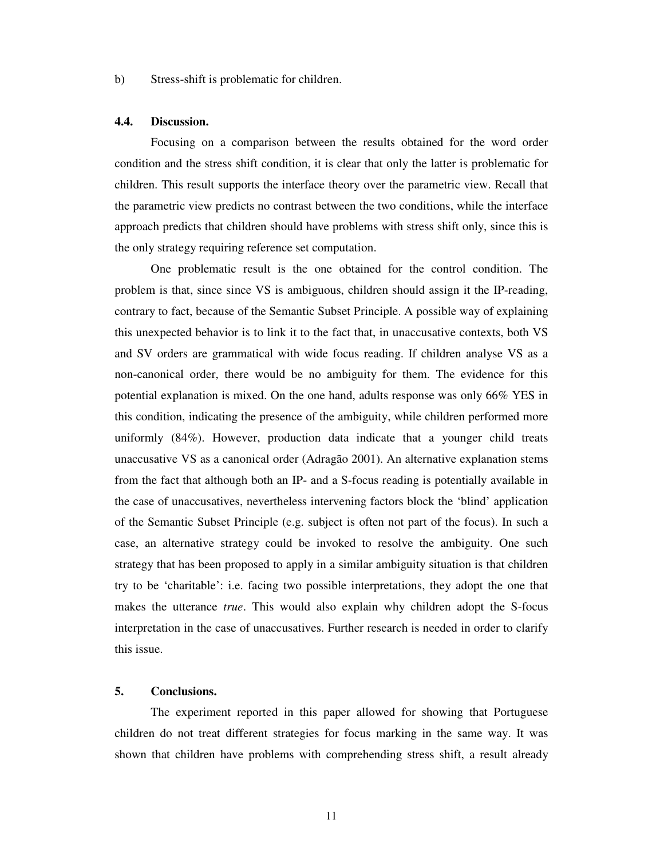b) Stress-shift is problematic for children.

## **4.4. Discussion.**

Focusing on a comparison between the results obtained for the word order condition and the stress shift condition, it is clear that only the latter is problematic for children. This result supports the interface theory over the parametric view. Recall that the parametric view predicts no contrast between the two conditions, while the interface approach predicts that children should have problems with stress shift only, since this is the only strategy requiring reference set computation.

One problematic result is the one obtained for the control condition. The problem is that, since since VS is ambiguous, children should assign it the IP-reading, contrary to fact, because of the Semantic Subset Principle. A possible way of explaining this unexpected behavior is to link it to the fact that, in unaccusative contexts, both VS and SV orders are grammatical with wide focus reading. If children analyse VS as a non-canonical order, there would be no ambiguity for them. The evidence for this potential explanation is mixed. On the one hand, adults response was only 66% YES in this condition, indicating the presence of the ambiguity, while children performed more uniformly (84%). However, production data indicate that a younger child treats unaccusative VS as a canonical order (Adragão 2001). An alternative explanation stems from the fact that although both an IP- and a S-focus reading is potentially available in the case of unaccusatives, nevertheless intervening factors block the 'blind' application of the Semantic Subset Principle (e.g. subject is often not part of the focus). In such a case, an alternative strategy could be invoked to resolve the ambiguity. One such strategy that has been proposed to apply in a similar ambiguity situation is that children try to be 'charitable': i.e. facing two possible interpretations, they adopt the one that makes the utterance *true*. This would also explain why children adopt the S-focus interpretation in the case of unaccusatives. Further research is needed in order to clarify this issue.

# **5. Conclusions.**

The experiment reported in this paper allowed for showing that Portuguese children do not treat different strategies for focus marking in the same way. It was shown that children have problems with comprehending stress shift, a result already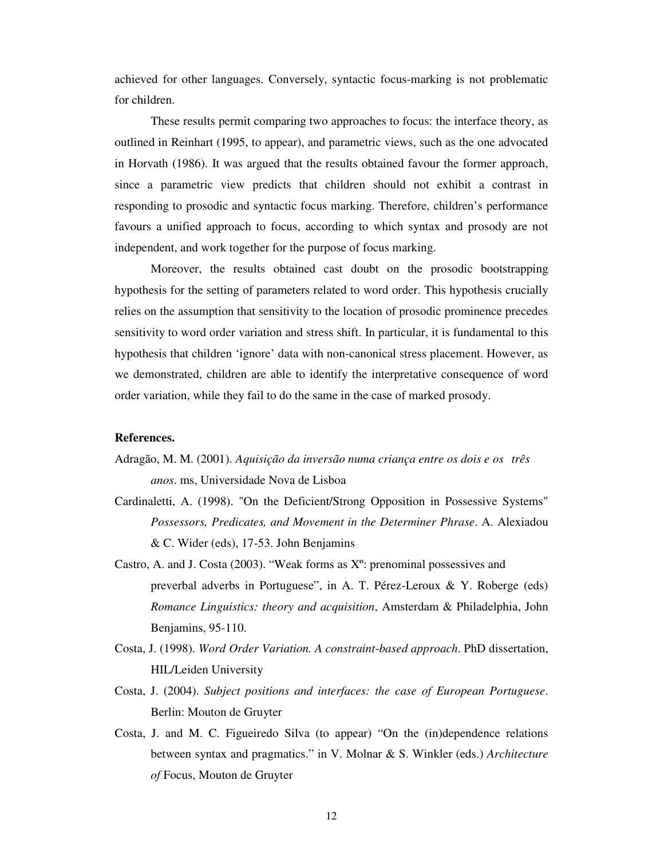achieved for other languages. Conversely, syntactic focus-marking is not problematic for children.

These results permit comparing two approaches to focus: the interface theory, as outlined in Reinhart (1995, to appear), and parametric views, such as the one advocated in Horvath (1986). It was argued that the results obtained favour the former approach, since a parametric view predicts that children should not exhibit a contrast in responding to prosodic and syntactic focus marking. Therefore, children's performance favours a unified approach to focus, according to which syntax and prosody are not independent, and work together for the purpose of focus marking.

Moreover, the results obtained cast doubt on the prosodic bootstrapping hypothesis for the setting of parameters related to word order. This hypothesis crucially relies on the assumption that sensitivity to the location of prosodic prominence precedes sensitivity to word order variation and stress shift. In particular, it is fundamental to this hypothesis that children 'ignore' data with non-canonical stress placement. However, as we demonstrated, children are able to identify the interpretative consequence of word order variation, while they fail to do the same in the case of marked prosody.

#### **References.**

- Adragão, M. M. (2001). *Aquisição da inversão numa criança entre os dois e os três anos*. ms, Universidade Nova de Lisboa
- Cardinaletti, A. (1998). "On the Deficient/Strong Opposition in Possessive Systems" *Possessors, Predicates, and Movement in the Determiner Phrase*. A. Alexiadou & C. Wider (eds), 17-53. John Benjamins
- Castro, A. and J. Costa (2003). "Weak forms as Xº: prenominal possessives and preverbal adverbs in Portuguese", in A. T. Pérez-Leroux & Y. Roberge (eds) *Romance Linguistics: theory and acquisition*, Amsterdam & Philadelphia, John Benjamins, 95-110.
- Costa, J. (1998). *Word Order Variation. A constraint-based approach*. PhD dissertation, HIL/Leiden University
- Costa, J. (2004). *Subject positions and interfaces: the case of European Portuguese*. Berlin: Mouton de Gruyter
- Costa, J. and M. C. Figueiredo Silva (to appear) "On the (in)dependence relations between syntax and pragmatics." in V. Molnar & S. Winkler (eds.) *Architecture of* Focus, Mouton de Gruyter